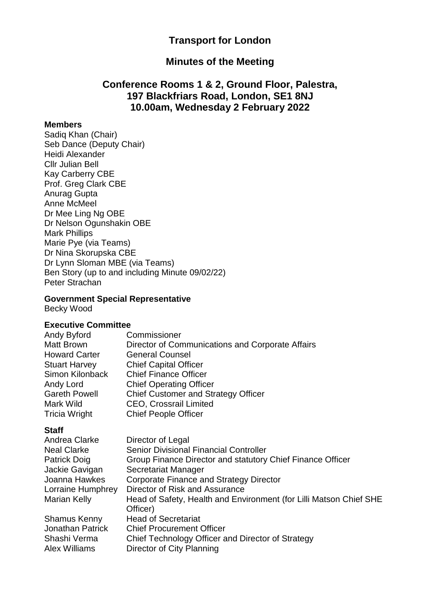## **Transport for London**

## **Minutes of the Meeting**

## **Conference Rooms 1 & 2, Ground Floor, Palestra, 197 Blackfriars Road, London, SE1 8NJ 10.00am, Wednesday 2 February 2022**

### **Members**

Sadiq Khan (Chair) Seb Dance (Deputy Chair) Heidi Alexander Cllr Julian Bell Kay Carberry CBE Prof. Greg Clark CBE Anurag Gupta Anne McMeel Dr Mee Ling Ng OBE Dr Nelson Ogunshakin OBE Mark Phillips Marie Pye (via Teams) Dr Nina Skorupska CBE Dr Lynn Sloman MBE (via Teams) Ben Story (up to and including Minute 09/02/22) Peter Strachan

### **Government Special Representative**

Becky Wood

### **Executive Committee**

| Andy Byford          | Commissioner                                     |
|----------------------|--------------------------------------------------|
| <b>Matt Brown</b>    | Director of Communications and Corporate Affairs |
| <b>Howard Carter</b> | <b>General Counsel</b>                           |
| <b>Stuart Harvey</b> | <b>Chief Capital Officer</b>                     |
| Simon Kilonback      | <b>Chief Finance Officer</b>                     |
| Andy Lord            | <b>Chief Operating Officer</b>                   |
| <b>Gareth Powell</b> | <b>Chief Customer and Strategy Officer</b>       |
| Mark Wild            | <b>CEO, Crossrail Limited</b>                    |
| <b>Tricia Wright</b> | <b>Chief People Officer</b>                      |

#### **Staff**

| Andrea Clarke        | Director of Legal                                                  |
|----------------------|--------------------------------------------------------------------|
| <b>Neal Clarke</b>   | Senior Divisional Financial Controller                             |
| Patrick Doig         | Group Finance Director and statutory Chief Finance Officer         |
| Jackie Gavigan       | Secretariat Manager                                                |
| Joanna Hawkes        | <b>Corporate Finance and Strategy Director</b>                     |
| Lorraine Humphrey    | Director of Risk and Assurance                                     |
| <b>Marian Kelly</b>  | Head of Safety, Health and Environment (for Lilli Matson Chief SHE |
|                      | Officer)                                                           |
| <b>Shamus Kenny</b>  | <b>Head of Secretariat</b>                                         |
| Jonathan Patrick     | <b>Chief Procurement Officer</b>                                   |
| Shashi Verma         | Chief Technology Officer and Director of Strategy                  |
| <b>Alex Williams</b> | Director of City Planning                                          |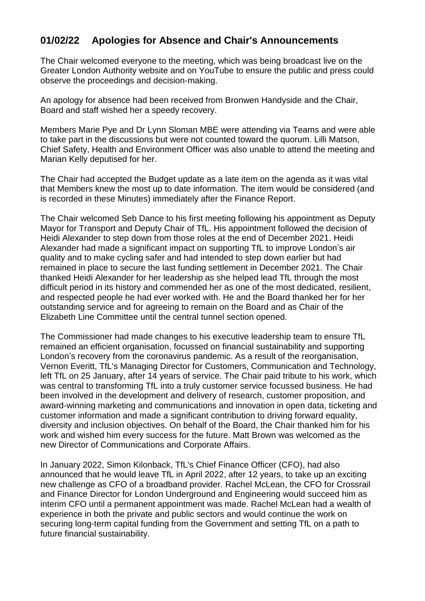# **01/02/22 Apologies for Absence and Chair's Announcements**

The Chair welcomed everyone to the meeting, which was being broadcast live on the Greater London Authority website and on YouTube to ensure the public and press could observe the proceedings and decision-making.

An apology for absence had been received from Bronwen Handyside and the Chair, Board and staff wished her a speedy recovery.

Members Marie Pye and Dr Lynn Sloman MBE were attending via Teams and were able to take part in the discussions but were not counted toward the quorum. Lilli Matson, Chief Safety, Health and Environment Officer was also unable to attend the meeting and Marian Kelly deputised for her.

The Chair had accepted the Budget update as a late item on the agenda as it was vital that Members knew the most up to date information. The item would be considered (and is recorded in these Minutes) immediately after the Finance Report.

The Chair welcomed Seb Dance to his first meeting following his appointment as Deputy Mayor for Transport and Deputy Chair of TfL. His appointment followed the decision of Heidi Alexander to step down from those roles at the end of December 2021. Heidi Alexander had made a significant impact on supporting TfL to improve London's air quality and to make cycling safer and had intended to step down earlier but had remained in place to secure the last funding settlement in December 2021. The Chair thanked Heidi Alexander for her leadership as she helped lead TfL through the most difficult period in its history and commended her as one of the most dedicated, resilient, and respected people he had ever worked with. He and the Board thanked her for her outstanding service and for agreeing to remain on the Board and as Chair of the Elizabeth Line Committee until the central tunnel section opened.

The Commissioner had made changes to his executive leadership team to ensure TfL remained an efficient organisation, focussed on financial sustainability and supporting London's recovery from the coronavirus pandemic. As a result of the reorganisation, Vernon Everitt, TfL's Managing Director for Customers, Communication and Technology, left TfL on 25 January, after 14 years of service. The Chair paid tribute to his work, which was central to transforming TfL into a truly customer service focussed business. He had been involved in the development and delivery of research, customer proposition, and award-winning marketing and communications and innovation in open data, ticketing and customer information and made a significant contribution to driving forward equality, diversity and inclusion objectives. On behalf of the Board, the Chair thanked him for his work and wished him every success for the future. Matt Brown was welcomed as the new Director of Communications and Corporate Affairs.

In January 2022, Simon Kilonback, TfL's Chief Finance Officer (CFO), had also announced that he would leave TfL in April 2022, after 12 years, to take up an exciting new challenge as CFO of a broadband provider. Rachel McLean, the CFO for Crossrail and Finance Director for London Underground and Engineering would succeed him as interim CFO until a permanent appointment was made. Rachel McLean had a wealth of experience in both the private and public sectors and would continue the work on securing long-term capital funding from the Government and setting TfL on a path to future financial sustainability.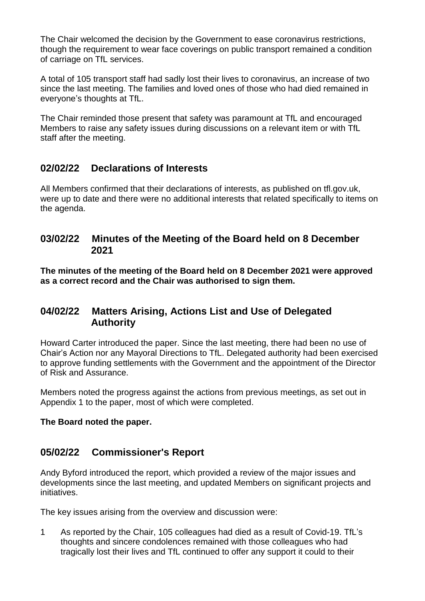The Chair welcomed the decision by the Government to ease coronavirus restrictions, though the requirement to wear face coverings on public transport remained a condition of carriage on TfL services.

A total of 105 transport staff had sadly lost their lives to coronavirus, an increase of two since the last meeting. The families and loved ones of those who had died remained in everyone's thoughts at TfL.

The Chair reminded those present that safety was paramount at TfL and encouraged Members to raise any safety issues during discussions on a relevant item or with TfL staff after the meeting.

# **02/02/22 Declarations of Interests**

All Members confirmed that their declarations of interests, as published on tfl.gov.uk, were up to date and there were no additional interests that related specifically to items on the agenda.

## **03/02/22 Minutes of the Meeting of the Board held on 8 December 2021**

**The minutes of the meeting of the Board held on 8 December 2021 were approved as a correct record and the Chair was authorised to sign them.**

## **04/02/22 Matters Arising, Actions List and Use of Delegated Authority**

Howard Carter introduced the paper. Since the last meeting, there had been no use of Chair's Action nor any Mayoral Directions to TfL. Delegated authority had been exercised to approve funding settlements with the Government and the appointment of the Director of Risk and Assurance.

Members noted the progress against the actions from previous meetings, as set out in Appendix 1 to the paper, most of which were completed.

### **The Board noted the paper.**

# **05/02/22 Commissioner's Report**

Andy Byford introduced the report, which provided a review of the major issues and developments since the last meeting, and updated Members on significant projects and initiatives.

The key issues arising from the overview and discussion were:

1 As reported by the Chair, 105 colleagues had died as a result of Covid-19. TfL's thoughts and sincere condolences remained with those colleagues who had tragically lost their lives and TfL continued to offer any support it could to their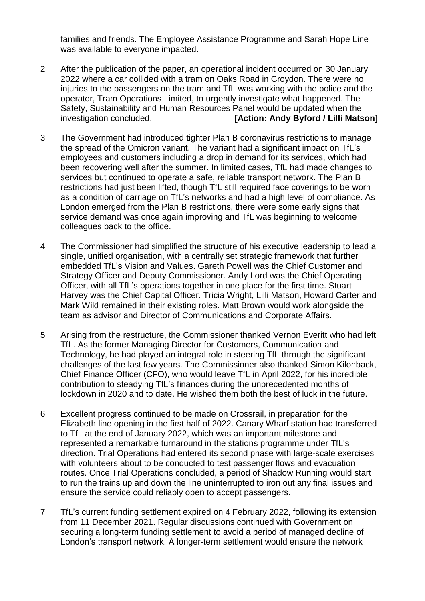families and friends. The Employee Assistance Programme and Sarah Hope Line was available to everyone impacted.

- 2 After the publication of the paper, an operational incident occurred on 30 January 2022 where a car collided with a tram on Oaks Road in Croydon. There were no injuries to the passengers on the tram and TfL was working with the police and the operator, Tram Operations Limited, to urgently investigate what happened. The Safety, Sustainability and Human Resources Panel would be updated when the investigation concluded. **[Action: Andy Byford / Lilli Matson]**
- 3 The Government had introduced tighter Plan B coronavirus restrictions to manage the spread of the Omicron variant. The variant had a significant impact on TfL's employees and customers including a drop in demand for its services, which had been recovering well after the summer. In limited cases, TfL had made changes to services but continued to operate a safe, reliable transport network. The Plan B restrictions had just been lifted, though TfL still required face coverings to be worn as a condition of carriage on TfL's networks and had a high level of compliance. As London emerged from the Plan B restrictions, there were some early signs that service demand was once again improving and TfL was beginning to welcome colleagues back to the office.
- 4 The Commissioner had simplified the structure of his executive leadership to lead a single, unified organisation, with a centrally set strategic framework that further embedded TfL's Vision and Values. Gareth Powell was the Chief Customer and Strategy Officer and Deputy Commissioner. Andy Lord was the Chief Operating Officer, with all TfL's operations together in one place for the first time. Stuart Harvey was the Chief Capital Officer. Tricia Wright, Lilli Matson, Howard Carter and Mark Wild remained in their existing roles. Matt Brown would work alongside the team as advisor and Director of Communications and Corporate Affairs.
- 5 Arising from the restructure, the Commissioner thanked Vernon Everitt who had left TfL. As the former Managing Director for Customers, Communication and Technology, he had played an integral role in steering TfL through the significant challenges of the last few years. The Commissioner also thanked Simon Kilonback, Chief Finance Officer (CFO), who would leave TfL in April 2022, for his incredible contribution to steadying TfL's finances during the unprecedented months of lockdown in 2020 and to date. He wished them both the best of luck in the future.
- 6 Excellent progress continued to be made on Crossrail, in preparation for the Elizabeth line opening in the first half of 2022. Canary Wharf station had transferred to TfL at the end of January 2022, which was an important milestone and represented a remarkable turnaround in the stations programme under TfL's direction. Trial Operations had entered its second phase with large-scale exercises with volunteers about to be conducted to test passenger flows and evacuation routes. Once Trial Operations concluded, a period of Shadow Running would start to run the trains up and down the line uninterrupted to iron out any final issues and ensure the service could reliably open to accept passengers.
- 7 TfL's current funding settlement expired on 4 February 2022, following its extension from 11 December 2021. Regular discussions continued with Government on securing a long-term funding settlement to avoid a period of managed decline of London's transport network. A longer-term settlement would ensure the network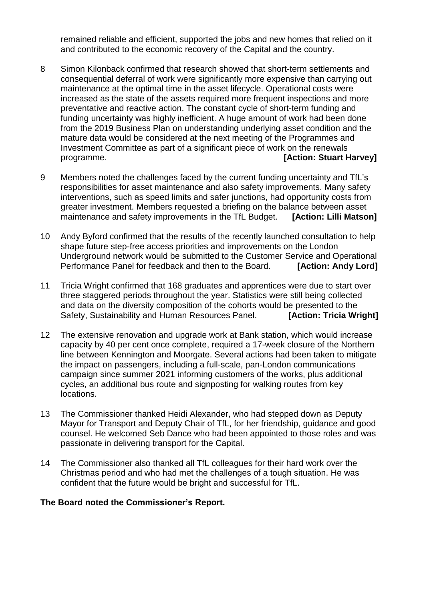remained reliable and efficient, supported the jobs and new homes that relied on it and contributed to the economic recovery of the Capital and the country.

- 8 Simon Kilonback confirmed that research showed that short-term settlements and consequential deferral of work were significantly more expensive than carrying out maintenance at the optimal time in the asset lifecycle. Operational costs were increased as the state of the assets required more frequent inspections and more preventative and reactive action. The constant cycle of short-term funding and funding uncertainty was highly inefficient. A huge amount of work had been done from the 2019 Business Plan on understanding underlying asset condition and the mature data would be considered at the next meeting of the Programmes and Investment Committee as part of a significant piece of work on the renewals programme. **[Action: Stuart Harvey]**
- 9 Members noted the challenges faced by the current funding uncertainty and TfL's responsibilities for asset maintenance and also safety improvements. Many safety interventions, such as speed limits and safer junctions, had opportunity costs from greater investment. Members requested a briefing on the balance between asset maintenance and safety improvements in the TfL Budget. **[Action: Lilli Matson]**
- 10 Andy Byford confirmed that the results of the recently launched consultation to help shape future step-free access priorities and improvements on the London Underground network would be submitted to the Customer Service and Operational Performance Panel for feedback and then to the Board. **[Action: Andy Lord]**
- 11 Tricia Wright confirmed that 168 graduates and apprentices were due to start over three staggered periods throughout the year. Statistics were still being collected and data on the diversity composition of the cohorts would be presented to the Safety, Sustainability and Human Resources Panel. **[Action: Tricia Wright]**
- 12 The extensive renovation and upgrade work at Bank station, which would increase capacity by 40 per cent once complete, required a 17-week closure of the Northern line between Kennington and Moorgate. Several actions had been taken to mitigate the impact on passengers, including a full-scale, pan-London communications campaign since summer 2021 informing customers of the works, plus additional cycles, an additional bus route and signposting for walking routes from key locations.
- 13 The Commissioner thanked Heidi Alexander, who had stepped down as Deputy Mayor for Transport and Deputy Chair of TfL, for her friendship, guidance and good counsel. He welcomed Seb Dance who had been appointed to those roles and was passionate in delivering transport for the Capital.
- 14 The Commissioner also thanked all TfL colleagues for their hard work over the Christmas period and who had met the challenges of a tough situation. He was confident that the future would be bright and successful for TfL.

### **The Board noted the Commissioner's Report.**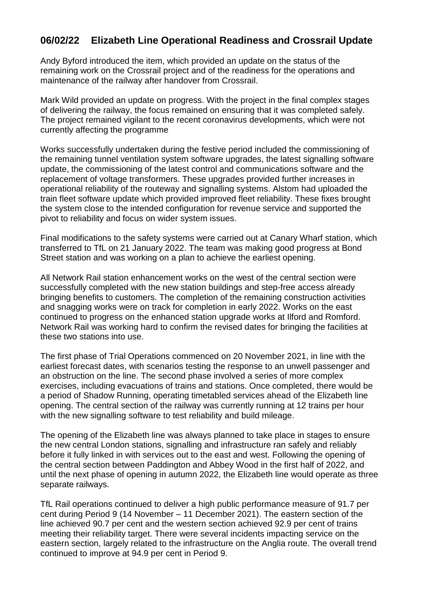# **06/02/22 Elizabeth Line Operational Readiness and Crossrail Update**

Andy Byford introduced the item, which provided an update on the status of the remaining work on the Crossrail project and of the readiness for the operations and maintenance of the railway after handover from Crossrail.

Mark Wild provided an update on progress. With the project in the final complex stages of delivering the railway, the focus remained on ensuring that it was completed safely. The project remained vigilant to the recent coronavirus developments, which were not currently affecting the programme

Works successfully undertaken during the festive period included the commissioning of the remaining tunnel ventilation system software upgrades, the latest signalling software update, the commissioning of the latest control and communications software and the replacement of voltage transformers. These upgrades provided further increases in operational reliability of the routeway and signalling systems. Alstom had uploaded the train fleet software update which provided improved fleet reliability. These fixes brought the system close to the intended configuration for revenue service and supported the pivot to reliability and focus on wider system issues.

Final modifications to the safety systems were carried out at Canary Wharf station, which transferred to TfL on 21 January 2022. The team was making good progress at Bond Street station and was working on a plan to achieve the earliest opening.

All Network Rail station enhancement works on the west of the central section were successfully completed with the new station buildings and step-free access already bringing benefits to customers. The completion of the remaining construction activities and snagging works were on track for completion in early 2022. Works on the east continued to progress on the enhanced station upgrade works at Ilford and Romford. Network Rail was working hard to confirm the revised dates for bringing the facilities at these two stations into use.

The first phase of Trial Operations commenced on 20 November 2021, in line with the earliest forecast dates, with scenarios testing the response to an unwell passenger and an obstruction on the line. The second phase involved a series of more complex exercises, including evacuations of trains and stations. Once completed, there would be a period of Shadow Running, operating timetabled services ahead of the Elizabeth line opening. The central section of the railway was currently running at 12 trains per hour with the new signalling software to test reliability and build mileage.

The opening of the Elizabeth line was always planned to take place in stages to ensure the new central London stations, signalling and infrastructure ran safely and reliably before it fully linked in with services out to the east and west. Following the opening of the central section between Paddington and Abbey Wood in the first half of 2022, and until the next phase of opening in autumn 2022, the Elizabeth line would operate as three separate railways.

TfL Rail operations continued to deliver a high public performance measure of 91.7 per cent during Period 9 (14 November – 11 December 2021). The eastern section of the line achieved 90.7 per cent and the western section achieved 92.9 per cent of trains meeting their reliability target. There were several incidents impacting service on the eastern section, largely related to the infrastructure on the Anglia route. The overall trend continued to improve at 94.9 per cent in Period 9.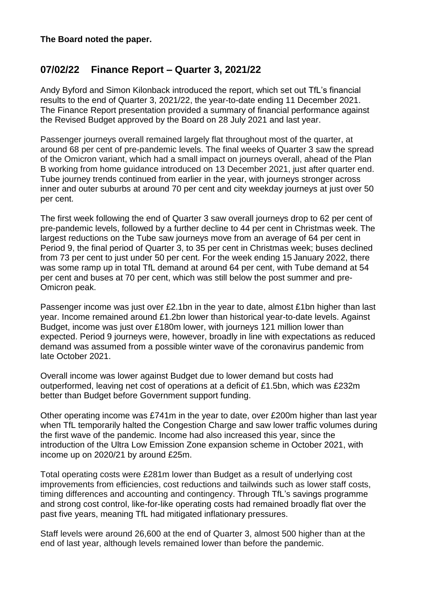# **07/02/22 Finance Report – Quarter 3, 2021/22**

Andy Byford and Simon Kilonback introduced the report, which set out TfL's financial results to the end of Quarter 3, 2021/22, the year-to-date ending 11 December 2021. The Finance Report presentation provided a summary of financial performance against the Revised Budget approved by the Board on 28 July 2021 and last year.

Passenger journeys overall remained largely flat throughout most of the quarter, at around 68 per cent of pre-pandemic levels. The final weeks of Quarter 3 saw the spread of the Omicron variant, which had a small impact on journeys overall, ahead of the Plan B working from home guidance introduced on 13 December 2021, just after quarter end. Tube journey trends continued from earlier in the year, with journeys stronger across inner and outer suburbs at around 70 per cent and city weekday journeys at just over 50 per cent.

The first week following the end of Quarter 3 saw overall journeys drop to 62 per cent of pre-pandemic levels, followed by a further decline to 44 per cent in Christmas week. The largest reductions on the Tube saw journeys move from an average of 64 per cent in Period 9, the final period of Quarter 3, to 35 per cent in Christmas week; buses declined from 73 per cent to just under 50 per cent. For the week ending 15 January 2022, there was some ramp up in total TfL demand at around 64 per cent, with Tube demand at 54 per cent and buses at 70 per cent, which was still below the post summer and pre-Omicron peak.

Passenger income was just over £2.1bn in the year to date, almost £1bn higher than last year. Income remained around £1.2bn lower than historical year-to-date levels. Against Budget, income was just over £180m lower, with journeys 121 million lower than expected. Period 9 journeys were, however, broadly in line with expectations as reduced demand was assumed from a possible winter wave of the coronavirus pandemic from late October 2021.

Overall income was lower against Budget due to lower demand but costs had outperformed, leaving net cost of operations at a deficit of £1.5bn, which was £232m better than Budget before Government support funding.

Other operating income was £741m in the year to date, over £200m higher than last year when TfL temporarily halted the Congestion Charge and saw lower traffic volumes during the first wave of the pandemic. Income had also increased this year, since the introduction of the Ultra Low Emission Zone expansion scheme in October 2021, with income up on 2020/21 by around £25m.

Total operating costs were £281m lower than Budget as a result of underlying cost improvements from efficiencies, cost reductions and tailwinds such as lower staff costs, timing differences and accounting and contingency. Through TfL's savings programme and strong cost control, like-for-like operating costs had remained broadly flat over the past five years, meaning TfL had mitigated inflationary pressures.

Staff levels were around 26,600 at the end of Quarter 3, almost 500 higher than at the end of last year, although levels remained lower than before the pandemic.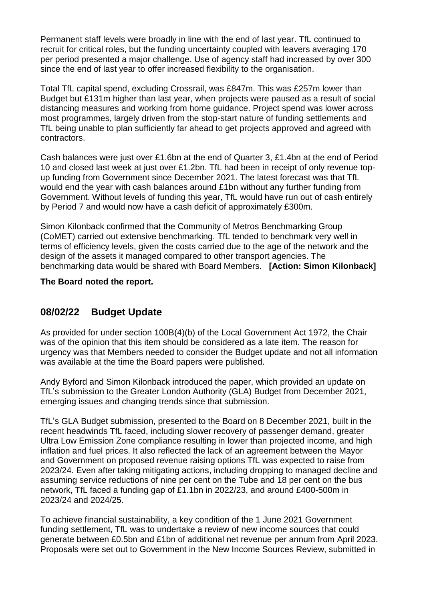Permanent staff levels were broadly in line with the end of last year. TfL continued to recruit for critical roles, but the funding uncertainty coupled with leavers averaging 170 per period presented a major challenge. Use of agency staff had increased by over 300 since the end of last year to offer increased flexibility to the organisation.

Total TfL capital spend, excluding Crossrail, was £847m. This was £257m lower than Budget but £131m higher than last year, when projects were paused as a result of social distancing measures and working from home guidance. Project spend was lower across most programmes, largely driven from the stop-start nature of funding settlements and TfL being unable to plan sufficiently far ahead to get projects approved and agreed with contractors.

Cash balances were just over £1.6bn at the end of Quarter 3, £1.4bn at the end of Period 10 and closed last week at just over £1.2bn. TfL had been in receipt of only revenue topup funding from Government since December 2021. The latest forecast was that TfL would end the year with cash balances around £1bn without any further funding from Government. Without levels of funding this year, TfL would have run out of cash entirely by Period 7 and would now have a cash deficit of approximately £300m.

Simon Kilonback confirmed that the Community of Metros Benchmarking Group (CoMET) carried out extensive benchmarking. TfL tended to benchmark very well in terms of efficiency levels, given the costs carried due to the age of the network and the design of the assets it managed compared to other transport agencies. The benchmarking data would be shared with Board Members. **[Action: Simon Kilonback]**

### **The Board noted the report.**

## **08/02/22 Budget Update**

As provided for under section 100B(4)(b) of the Local Government Act 1972, the Chair was of the opinion that this item should be considered as a late item. The reason for urgency was that Members needed to consider the Budget update and not all information was available at the time the Board papers were published.

Andy Byford and Simon Kilonback introduced the paper, which provided an update on TfL's submission to the Greater London Authority (GLA) Budget from December 2021, emerging issues and changing trends since that submission.

TfL's GLA Budget submission, presented to the Board on 8 December 2021, built in the recent headwinds TfL faced, including slower recovery of passenger demand, greater Ultra Low Emission Zone compliance resulting in lower than projected income, and high inflation and fuel prices. It also reflected the lack of an agreement between the Mayor and Government on proposed revenue raising options TfL was expected to raise from 2023/24. Even after taking mitigating actions, including dropping to managed decline and assuming service reductions of nine per cent on the Tube and 18 per cent on the bus network, TfL faced a funding gap of £1.1bn in 2022/23, and around £400-500m in 2023/24 and 2024/25.

To achieve financial sustainability, a key condition of the 1 June 2021 Government funding settlement, TfL was to undertake a review of new income sources that could generate between £0.5bn and £1bn of additional net revenue per annum from April 2023. Proposals were set out to Government in the New Income Sources Review, submitted in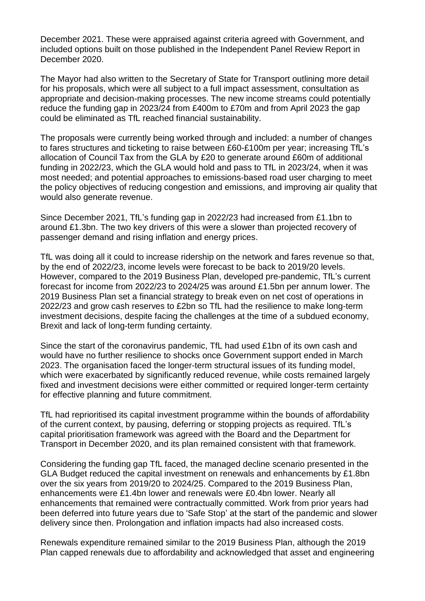December 2021. These were appraised against criteria agreed with Government, and included options built on those published in the Independent Panel Review Report in December 2020.

The Mayor had also written to the Secretary of State for Transport outlining more detail for his proposals, which were all subject to a full impact assessment, consultation as appropriate and decision-making processes. The new income streams could potentially reduce the funding gap in 2023/24 from £400m to £70m and from April 2023 the gap could be eliminated as TfL reached financial sustainability.

The proposals were currently being worked through and included: a number of changes to fares structures and ticketing to raise between £60-£100m per year; increasing TfL's allocation of Council Tax from the GLA by £20 to generate around £60m of additional funding in 2022/23, which the GLA would hold and pass to TfL in 2023/24, when it was most needed; and potential approaches to emissions-based road user charging to meet the policy objectives of reducing congestion and emissions, and improving air quality that would also generate revenue.

Since December 2021, TfL's funding gap in 2022/23 had increased from £1.1bn to around £1.3bn. The two key drivers of this were a slower than projected recovery of passenger demand and rising inflation and energy prices.

TfL was doing all it could to increase ridership on the network and fares revenue so that, by the end of 2022/23, income levels were forecast to be back to 2019/20 levels. However, compared to the 2019 Business Plan, developed pre-pandemic, TfL's current forecast for income from 2022/23 to 2024/25 was around £1.5bn per annum lower. The 2019 Business Plan set a financial strategy to break even on net cost of operations in 2022/23 and grow cash reserves to £2bn so TfL had the resilience to make long-term investment decisions, despite facing the challenges at the time of a subdued economy, Brexit and lack of long-term funding certainty.

Since the start of the coronavirus pandemic, TfL had used £1bn of its own cash and would have no further resilience to shocks once Government support ended in March 2023. The organisation faced the longer-term structural issues of its funding model, which were exacerbated by significantly reduced revenue, while costs remained largely fixed and investment decisions were either committed or required longer-term certainty for effective planning and future commitment.

TfL had reprioritised its capital investment programme within the bounds of affordability of the current context, by pausing, deferring or stopping projects as required. TfL's capital prioritisation framework was agreed with the Board and the Department for Transport in December 2020, and its plan remained consistent with that framework.

Considering the funding gap TfL faced, the managed decline scenario presented in the GLA Budget reduced the capital investment on renewals and enhancements by £1.8bn over the six years from 2019/20 to 2024/25. Compared to the 2019 Business Plan, enhancements were £1.4bn lower and renewals were £0.4bn lower. Nearly all enhancements that remained were contractually committed. Work from prior years had been deferred into future years due to 'Safe Stop' at the start of the pandemic and slower delivery since then. Prolongation and inflation impacts had also increased costs.

Renewals expenditure remained similar to the 2019 Business Plan, although the 2019 Plan capped renewals due to affordability and acknowledged that asset and engineering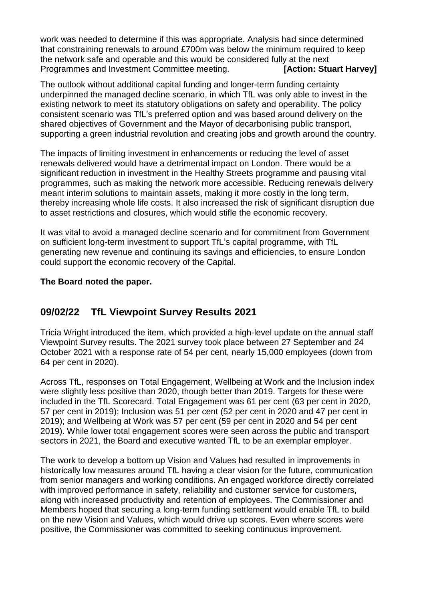work was needed to determine if this was appropriate. Analysis had since determined that constraining renewals to around £700m was below the minimum required to keep the network safe and operable and this would be considered fully at the next Programmes and Investment Committee meeting. **[Action: Stuart Harvey]** 

The outlook without additional capital funding and longer-term funding certainty underpinned the managed decline scenario, in which TfL was only able to invest in the existing network to meet its statutory obligations on safety and operability. The policy consistent scenario was TfL's preferred option and was based around delivery on the shared objectives of Government and the Mayor of decarbonising public transport, supporting a green industrial revolution and creating jobs and growth around the country.

The impacts of limiting investment in enhancements or reducing the level of asset renewals delivered would have a detrimental impact on London. There would be a significant reduction in investment in the Healthy Streets programme and pausing vital programmes, such as making the network more accessible. Reducing renewals delivery meant interim solutions to maintain assets, making it more costly in the long term, thereby increasing whole life costs. It also increased the risk of significant disruption due to asset restrictions and closures, which would stifle the economic recovery.

It was vital to avoid a managed decline scenario and for commitment from Government on sufficient long-term investment to support TfL's capital programme, with TfL generating new revenue and continuing its savings and efficiencies, to ensure London could support the economic recovery of the Capital.

### **The Board noted the paper.**

# **09/02/22 TfL Viewpoint Survey Results 2021**

Tricia Wright introduced the item, which provided a high-level update on the annual staff Viewpoint Survey results. The 2021 survey took place between 27 September and 24 October 2021 with a response rate of 54 per cent, nearly 15,000 employees (down from 64 per cent in 2020).

Across TfL, responses on Total Engagement, Wellbeing at Work and the Inclusion index were slightly less positive than 2020, though better than 2019. Targets for these were included in the TfL Scorecard. Total Engagement was 61 per cent (63 per cent in 2020, 57 per cent in 2019); Inclusion was 51 per cent (52 per cent in 2020 and 47 per cent in 2019); and Wellbeing at Work was 57 per cent (59 per cent in 2020 and 54 per cent 2019). While lower total engagement scores were seen across the public and transport sectors in 2021, the Board and executive wanted TfL to be an exemplar employer.

The work to develop a bottom up Vision and Values had resulted in improvements in historically low measures around TfL having a clear vision for the future, communication from senior managers and working conditions. An engaged workforce directly correlated with improved performance in safety, reliability and customer service for customers, along with increased productivity and retention of employees. The Commissioner and Members hoped that securing a long-term funding settlement would enable TfL to build on the new Vision and Values, which would drive up scores. Even where scores were positive, the Commissioner was committed to seeking continuous improvement.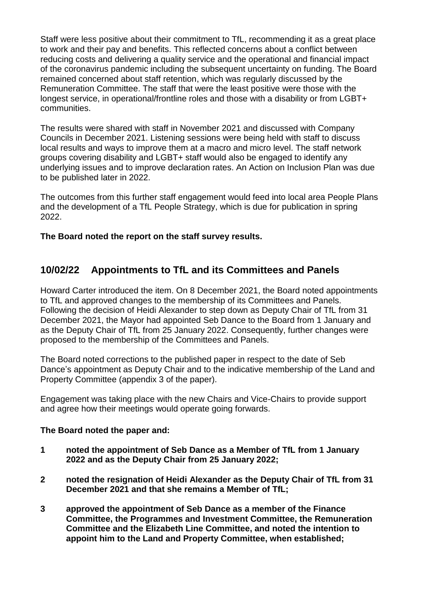Staff were less positive about their commitment to TfL, recommending it as a great place to work and their pay and benefits. This reflected concerns about a conflict between reducing costs and delivering a quality service and the operational and financial impact of the coronavirus pandemic including the subsequent uncertainty on funding. The Board remained concerned about staff retention, which was regularly discussed by the Remuneration Committee. The staff that were the least positive were those with the longest service, in operational/frontline roles and those with a disability or from LGBT+ communities.

The results were shared with staff in November 2021 and discussed with Company Councils in December 2021. Listening sessions were being held with staff to discuss local results and ways to improve them at a macro and micro level. The staff network groups covering disability and LGBT+ staff would also be engaged to identify any underlying issues and to improve declaration rates. An Action on Inclusion Plan was due to be published later in 2022.

The outcomes from this further staff engagement would feed into local area People Plans and the development of a TfL People Strategy, which is due for publication in spring 2022.

**The Board noted the report on the staff survey results.**

# **10/02/22 Appointments to TfL and its Committees and Panels**

Howard Carter introduced the item. On 8 December 2021, the Board noted appointments to TfL and approved changes to the membership of its Committees and Panels. Following the decision of Heidi Alexander to step down as Deputy Chair of TfL from 31 December 2021, the Mayor had appointed Seb Dance to the Board from 1 January and as the Deputy Chair of TfL from 25 January 2022. Consequently, further changes were proposed to the membership of the Committees and Panels.

The Board noted corrections to the published paper in respect to the date of Seb Dance's appointment as Deputy Chair and to the indicative membership of the Land and Property Committee (appendix 3 of the paper).

Engagement was taking place with the new Chairs and Vice-Chairs to provide support and agree how their meetings would operate going forwards.

### **The Board noted the paper and:**

- **1 noted the appointment of Seb Dance as a Member of TfL from 1 January 2022 and as the Deputy Chair from 25 January 2022;**
- **2 noted the resignation of Heidi Alexander as the Deputy Chair of TfL from 31 December 2021 and that she remains a Member of TfL;**
- **3 approved the appointment of Seb Dance as a member of the Finance Committee, the Programmes and Investment Committee, the Remuneration Committee and the Elizabeth Line Committee, and noted the intention to appoint him to the Land and Property Committee, when established;**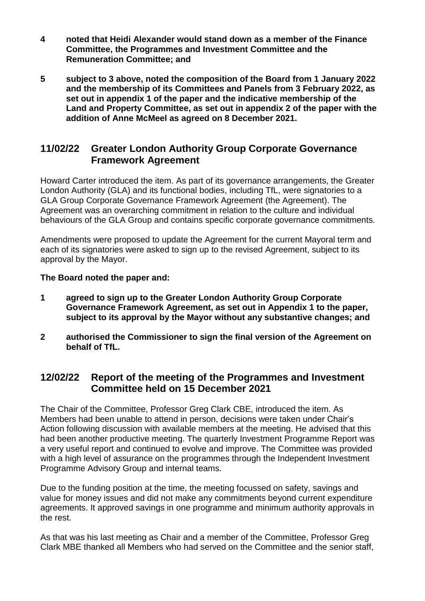- **4 noted that Heidi Alexander would stand down as a member of the Finance Committee, the Programmes and Investment Committee and the Remuneration Committee; and**
- **5 subject to 3 above, noted the composition of the Board from 1 January 2022 and the membership of its Committees and Panels from 3 February 2022, as set out in appendix 1 of the paper and the indicative membership of the Land and Property Committee, as set out in appendix 2 of the paper with the addition of Anne McMeel as agreed on 8 December 2021.**

## **11/02/22 Greater London Authority Group Corporate Governance Framework Agreement**

Howard Carter introduced the item. As part of its governance arrangements, the Greater London Authority (GLA) and its functional bodies, including TfL, were signatories to a GLA Group Corporate Governance Framework Agreement (the Agreement). The Agreement was an overarching commitment in relation to the culture and individual behaviours of the GLA Group and contains specific corporate governance commitments.

Amendments were proposed to update the Agreement for the current Mayoral term and each of its signatories were asked to sign up to the revised Agreement, subject to its approval by the Mayor.

**The Board noted the paper and:**

- **1 agreed to sign up to the Greater London Authority Group Corporate Governance Framework Agreement, as set out in Appendix 1 to the paper, subject to its approval by the Mayor without any substantive changes; and**
- **2 authorised the Commissioner to sign the final version of the Agreement on behalf of TfL.**

## **12/02/22 Report of the meeting of the Programmes and Investment Committee held on 15 December 2021**

The Chair of the Committee, Professor Greg Clark CBE, introduced the item. As Members had been unable to attend in person, decisions were taken under Chair's Action following discussion with available members at the meeting. He advised that this had been another productive meeting. The quarterly Investment Programme Report was a very useful report and continued to evolve and improve. The Committee was provided with a high level of assurance on the programmes through the Independent Investment Programme Advisory Group and internal teams.

Due to the funding position at the time, the meeting focussed on safety, savings and value for money issues and did not make any commitments beyond current expenditure agreements. It approved savings in one programme and minimum authority approvals in the rest.

As that was his last meeting as Chair and a member of the Committee, Professor Greg Clark MBE thanked all Members who had served on the Committee and the senior staff,